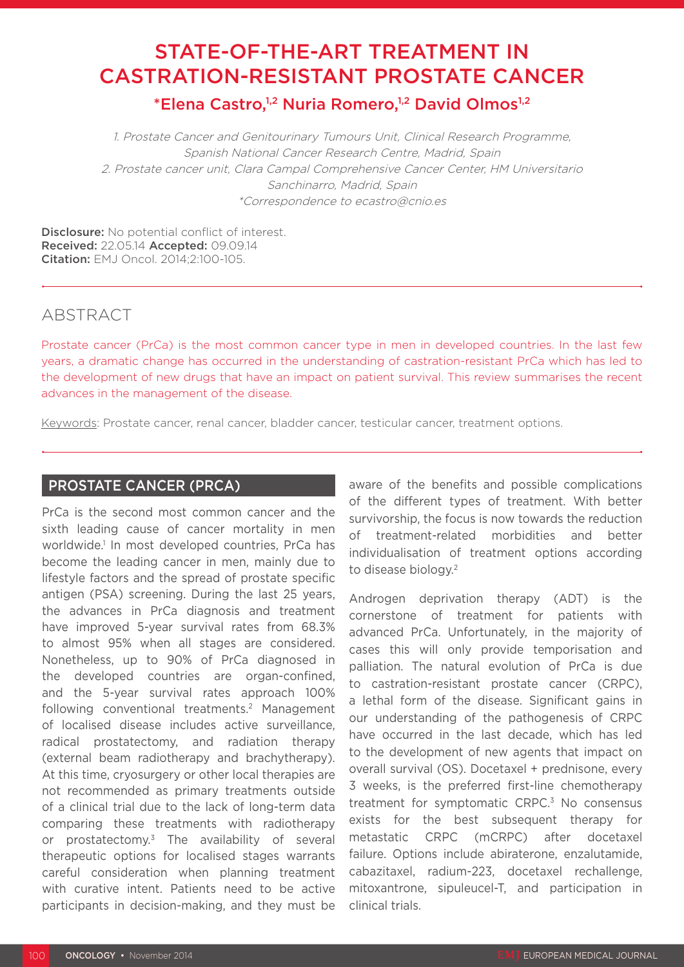# STATE-OF-THE-ART TREATMENT IN CASTRATION-RESISTANT PROSTATE CANCER

\*Elena Castro,<sup>1,2</sup> Nuria Romero,<sup>1,2</sup> David Olmos<sup>1,2</sup>

1. Prostate Cancer and Genitourinary Tumours Unit, Clinical Research Programme, Spanish National Cancer Research Centre, Madrid, Spain 2. Prostate cancer unit, Clara Campal Comprehensive Cancer Center, HM Universitario Sanchinarro, Madrid, Spain \*Correspondence to ecastro@cnio.es

Disclosure: No potential conflict of interest. Received: 22.05.14 Accepted: 09.09.14 Citation: EMJ Oncol. 2014;2:100-105.

## ABSTRACT

Prostate cancer (PrCa) is the most common cancer type in men in developed countries. In the last few years, a dramatic change has occurred in the understanding of castration-resistant PrCa which has led to the development of new drugs that have an impact on patient survival. This review summarises the recent advances in the management of the disease.

Keywords: Prostate cancer, renal cancer, bladder cancer, testicular cancer, treatment options.

## PROSTATE CANCER (PRCA)

PrCa is the second most common cancer and the sixth leading cause of cancer mortality in men worldwide.1 In most developed countries, PrCa has become the leading cancer in men, mainly due to lifestyle factors and the spread of prostate specific antigen (PSA) screening. During the last 25 years, the advances in PrCa diagnosis and treatment have improved 5-year survival rates from 68.3% to almost 95% when all stages are considered. Nonetheless, up to 90% of PrCa diagnosed in the developed countries are organ-confined, and the 5-year survival rates approach 100% following conventional treatments.2 Management of localised disease includes active surveillance, radical prostatectomy, and radiation therapy (external beam radiotherapy and brachytherapy). At this time, cryosurgery or other local therapies are not recommended as primary treatments outside of a clinical trial due to the lack of long-term data comparing these treatments with radiotherapy or prostatectomy.3 The availability of several therapeutic options for localised stages warrants careful consideration when planning treatment with curative intent. Patients need to be active participants in decision-making, and they must be

aware of the benefits and possible complications of the different types of treatment. With better survivorship, the focus is now towards the reduction of treatment-related morbidities and better individualisation of treatment options according to disease biology.<sup>2</sup>

Androgen deprivation therapy (ADT) is the cornerstone of treatment for patients with advanced PrCa. Unfortunately, in the majority of cases this will only provide temporisation and palliation. The natural evolution of PrCa is due to castration-resistant prostate cancer (CRPC), a lethal form of the disease. Significant gains in our understanding of the pathogenesis of CRPC have occurred in the last decade, which has led to the development of new agents that impact on overall survival (OS). Docetaxel + prednisone, every 3 weeks, is the preferred first-line chemotherapy treatment for symptomatic CRPC.<sup>3</sup> No consensus exists for the best subsequent therapy for metastatic CRPC (mCRPC) after docetaxel failure. Options include abiraterone, enzalutamide, cabazitaxel, radium-223, docetaxel rechallenge, mitoxantrone, sipuleucel-T, and participation in clinical trials.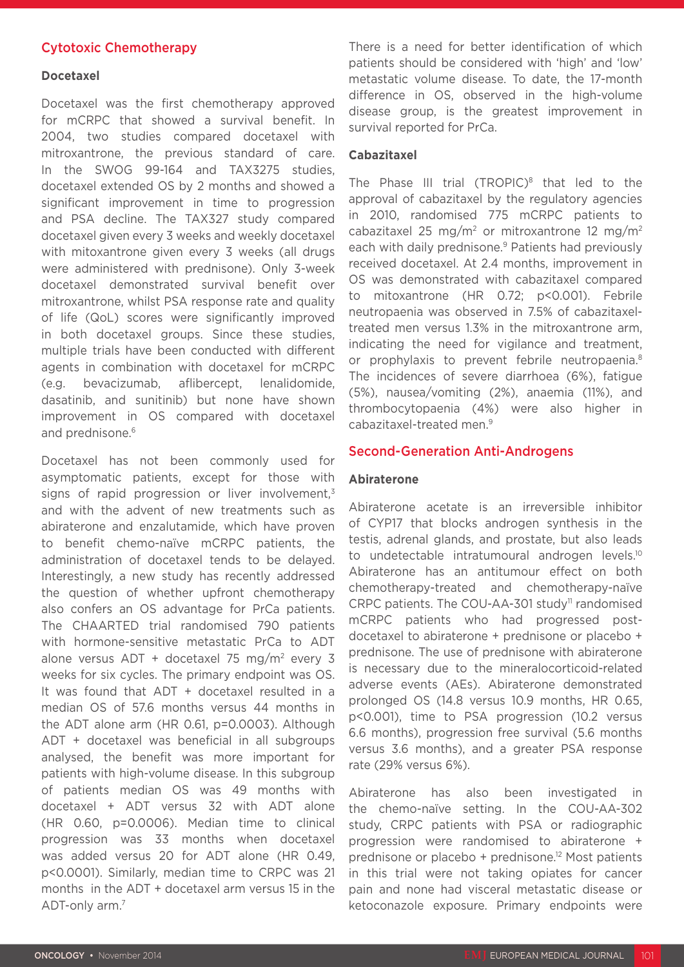## Cytotoxic Chemotherapy

#### **Docetaxel**

Docetaxel was the first chemotherapy approved for mCRPC that showed a survival benefit. In 2004, two studies compared docetaxel with mitroxantrone, the previous standard of care. In the SWOG 99-164 and TAX3275 studies, docetaxel extended OS by 2 months and showed a significant improvement in time to progression and PSA decline. The TAX327 study compared docetaxel given every 3 weeks and weekly docetaxel with mitoxantrone given every 3 weeks (all drugs were administered with prednisone). Only 3-week docetaxel demonstrated survival benefit over mitroxantrone, whilst PSA response rate and quality of life (QoL) scores were significantly improved in both docetaxel groups. Since these studies, multiple trials have been conducted with different agents in combination with docetaxel for mCRPC (e.g. bevacizumab, aflibercept, lenalidomide, dasatinib, and sunitinib) but none have shown improvement in OS compared with docetaxel and prednisone.<sup>6</sup>

Docetaxel has not been commonly used for asymptomatic patients, except for those with signs of rapid progression or liver involvement, $3$ and with the advent of new treatments such as abiraterone and enzalutamide, which have proven to benefit chemo-naïve mCRPC patients, the administration of docetaxel tends to be delayed. Interestingly, a new study has recently addressed the question of whether upfront chemotherapy also confers an OS advantage for PrCa patients. The CHAARTED trial randomised 790 patients with hormone-sensitive metastatic PrCa to ADT alone versus  $ADT + docetaxel 75 mg/m<sup>2</sup> every 3$ weeks for six cycles. The primary endpoint was OS. It was found that ADT + docetaxel resulted in a median OS of 57.6 months versus 44 months in the ADT alone arm (HR 0.61, p=0.0003). Although ADT + docetaxel was beneficial in all subgroups analysed, the benefit was more important for patients with high-volume disease. In this subgroup of patients median OS was 49 months with docetaxel + ADT versus 32 with ADT alone (HR 0.60, p=0.0006). Median time to clinical progression was 33 months when docetaxel was added versus 20 for ADT alone (HR 0.49, p<0.0001). Similarly, median time to CRPC was 21 months in the ADT + docetaxel arm versus 15 in the ADT-only arm.7

There is a need for better identification of which patients should be considered with 'high' and 'low' metastatic volume disease. To date, the 17-month difference in OS, observed in the high-volume disease group, is the greatest improvement in survival reported for PrCa.

#### **Cabazitaxel**

The Phase III trial (TROPIC)<sup>8</sup> that led to the approval of cabazitaxel by the regulatory agencies in 2010, randomised 775 mCRPC patients to cabazitaxel 25 mg/m<sup>2</sup> or mitroxantrone 12 mg/m<sup>2</sup> each with daily prednisone.<sup>9</sup> Patients had previously received docetaxel. At 2.4 months, improvement in OS was demonstrated with cabazitaxel compared to mitoxantrone (HR 0.72; p<0.001). Febrile neutropaenia was observed in 7.5% of cabazitaxeltreated men versus 1.3% in the mitroxantrone arm, indicating the need for vigilance and treatment, or prophylaxis to prevent febrile neutropaenia.<sup>8</sup> The incidences of severe diarrhoea (6%), fatigue (5%), nausea/vomiting (2%), anaemia (11%), and thrombocytopaenia (4%) were also higher in cabazitaxel-treated men.9

#### Second-Generation Anti-Androgens

#### **Abiraterone**

Abiraterone acetate is an irreversible inhibitor of CYP17 that blocks androgen synthesis in the testis, adrenal glands, and prostate, but also leads to undetectable intratumoural androgen levels.<sup>10</sup> Abiraterone has an antitumour effect on both chemotherapy-treated and chemotherapy-naïve CRPC patients. The COU-AA-301 study<sup>11</sup> randomised mCRPC patients who had progressed postdocetaxel to abiraterone + prednisone or placebo + prednisone. The use of prednisone with abiraterone is necessary due to the mineralocorticoid-related adverse events (AEs). Abiraterone demonstrated prolonged OS (14.8 versus 10.9 months, HR 0.65, p<0.001), time to PSA progression (10.2 versus 6.6 months), progression free survival (5.6 months versus 3.6 months), and a greater PSA response rate (29% versus 6%).

Abiraterone has also been investigated in the chemo-naïve setting. In the COU-AA-302 study, CRPC patients with PSA or radiographic progression were randomised to abiraterone + prednisone or placebo + prednisone.12 Most patients in this trial were not taking opiates for cancer pain and none had visceral metastatic disease or ketoconazole exposure. Primary endpoints were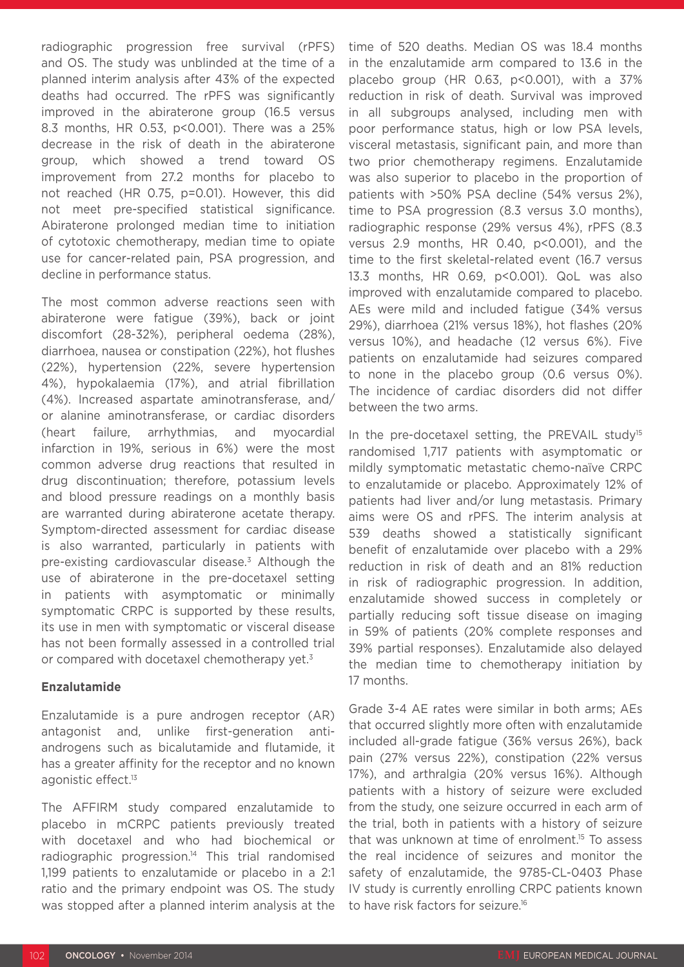radiographic progression free survival (rPFS) and OS. The study was unblinded at the time of a planned interim analysis after 43% of the expected deaths had occurred. The rPFS was significantly improved in the abiraterone group (16.5 versus 8.3 months, HR 0.53, p<0.001). There was a 25% decrease in the risk of death in the abiraterone group, which showed a trend toward OS improvement from 27.2 months for placebo to not reached (HR 0.75, p=0.01). However, this did not meet pre-specified statistical significance. Abiraterone prolonged median time to initiation of cytotoxic chemotherapy, median time to opiate use for cancer-related pain, PSA progression, and decline in performance status.

The most common adverse reactions seen with abiraterone were fatigue (39%), back or joint discomfort (28-32%), peripheral oedema (28%), diarrhoea, nausea or constipation (22%), hot flushes (22%), hypertension (22%, severe hypertension 4%), hypokalaemia (17%), and atrial fibrillation (4%). Increased aspartate aminotransferase, and/ or alanine aminotransferase, or cardiac disorders (heart failure, arrhythmias, and myocardial infarction in 19%, serious in 6%) were the most common adverse drug reactions that resulted in drug discontinuation; therefore, potassium levels and blood pressure readings on a monthly basis are warranted during abiraterone acetate therapy. Symptom-directed assessment for cardiac disease is also warranted, particularly in patients with pre-existing cardiovascular disease.3 Although the use of abiraterone in the pre-docetaxel setting in patients with asymptomatic or minimally symptomatic CRPC is supported by these results, its use in men with symptomatic or visceral disease has not been formally assessed in a controlled trial or compared with docetaxel chemotherapy yet.<sup>3</sup>

### **Enzalutamide**

Enzalutamide is a pure androgen receptor (AR) antagonist and, unlike first-generation antiandrogens such as bicalutamide and flutamide, it has a greater affinity for the receptor and no known agonistic effect.<sup>13</sup>

The AFFIRM study compared enzalutamide to placebo in mCRPC patients previously treated with docetaxel and who had biochemical or radiographic progression.<sup>14</sup> This trial randomised 1,199 patients to enzalutamide or placebo in a 2:1 ratio and the primary endpoint was OS. The study was stopped after a planned interim analysis at the

time of 520 deaths. Median OS was 18.4 months in the enzalutamide arm compared to 13.6 in the placebo group (HR  $0.63$ ,  $p<0.001$ ), with a 37% reduction in risk of death. Survival was improved in all subgroups analysed, including men with poor performance status, high or low PSA levels, visceral metastasis, significant pain, and more than two prior chemotherapy regimens. Enzalutamide was also superior to placebo in the proportion of patients with >50% PSA decline (54% versus 2%), time to PSA progression (8.3 versus 3.0 months), radiographic response (29% versus 4%), rPFS (8.3 versus 2.9 months, HR 0.40, p<0.001), and the time to the first skeletal-related event (16.7 versus 13.3 months, HR 0.69, p<0.001). QoL was also improved with enzalutamide compared to placebo. AEs were mild and included fatigue (34% versus 29%), diarrhoea (21% versus 18%), hot flashes (20% versus 10%), and headache (12 versus 6%). Five patients on enzalutamide had seizures compared to none in the placebo group (0.6 versus 0%). The incidence of cardiac disorders did not differ between the two arms.

In the pre-docetaxel setting, the PREVAIL study<sup>15</sup> randomised 1,717 patients with asymptomatic or mildly symptomatic metastatic chemo-naïve CRPC to enzalutamide or placebo. Approximately 12% of patients had liver and/or lung metastasis. Primary aims were OS and rPFS. The interim analysis at 539 deaths showed a statistically significant benefit of enzalutamide over placebo with a 29% reduction in risk of death and an 81% reduction in risk of radiographic progression. In addition, enzalutamide showed success in completely or partially reducing soft tissue disease on imaging in 59% of patients (20% complete responses and 39% partial responses). Enzalutamide also delayed the median time to chemotherapy initiation by 17 months.

Grade 3-4 AE rates were similar in both arms; AEs that occurred slightly more often with enzalutamide included all-grade fatigue (36% versus 26%), back pain (27% versus 22%), constipation (22% versus 17%), and arthralgia (20% versus 16%). Although patients with a history of seizure were excluded from the study, one seizure occurred in each arm of the trial, both in patients with a history of seizure that was unknown at time of enrolment.<sup>15</sup> To assess the real incidence of seizures and monitor the safety of enzalutamide, the 9785-CL-0403 Phase IV study is currently enrolling CRPC patients known to have risk factors for seizure.16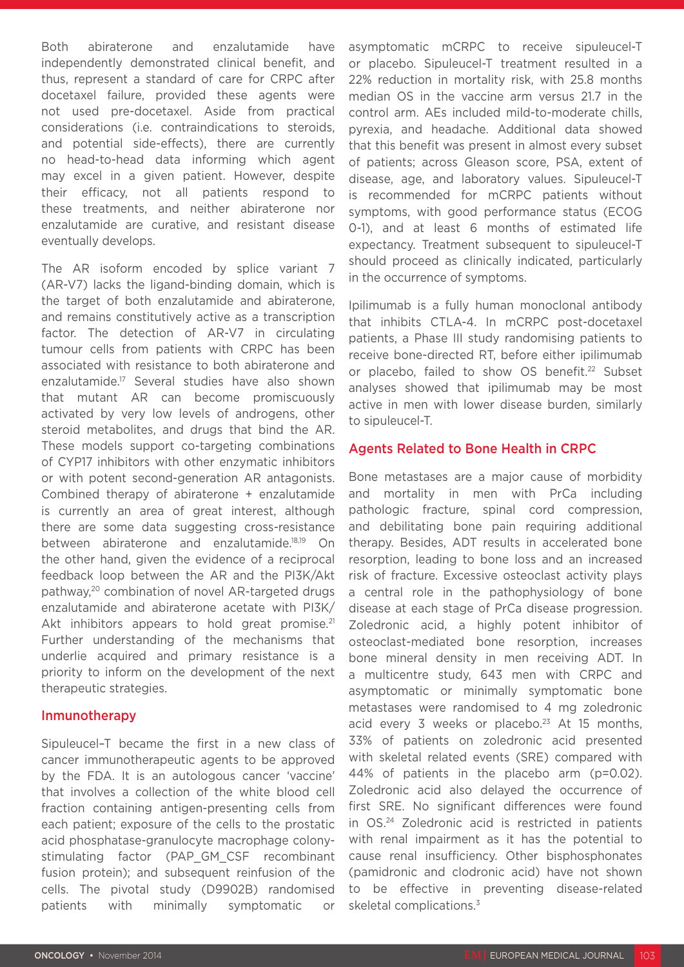Both abiraterone and enzalutamide have independently demonstrated clinical benefit, and thus, represent a standard of care for CRPC after docetaxel failure, provided these agents were not used pre-docetaxel. Aside from practical considerations (i.e. contraindications to steroids, and potential side-effects), there are currently no head-to-head data informing which agent may excel in a given patient. However, despite their efficacy, not all patients respond to these treatments, and neither abiraterone nor enzalutamide are curative, and resistant disease eventually develops.

The AR isoform encoded by splice variant 7 (AR-V7) lacks the ligand-binding domain, which is the target of both enzalutamide and abiraterone, and remains constitutively active as a transcription factor. The detection of AR-V7 in circulating tumour cells from patients with CRPC has been associated with resistance to both abiraterone and enzalutamide.17 Several studies have also shown that mutant AR can become promiscuously activated by very low levels of androgens, other steroid metabolites, and drugs that bind the AR. These models support co-targeting combinations of CYP17 inhibitors with other enzymatic inhibitors or with potent second-generation AR antagonists. Combined therapy of abiraterone + enzalutamide is currently an area of great interest, although there are some data suggesting cross-resistance between abiraterone and enzalutamide.18,19 On the other hand, given the evidence of a reciprocal feedback loop between the AR and the PI3K/Akt pathway,20 combination of novel AR-targeted drugs enzalutamide and abiraterone acetate with PI3K/ Akt inhibitors appears to hold great promise.<sup>21</sup> Further understanding of the mechanisms that underlie acquired and primary resistance is a priority to inform on the development of the next therapeutic strategies.

#### Inmunotherapy

Sipuleucel–T became the first in a new class of cancer immunotherapeutic agents to be approved by the FDA. It is an autologous cancer 'vaccine' that involves a collection of the white blood cell fraction containing antigen-presenting cells from each patient; exposure of the cells to the prostatic acid phosphatase-granulocyte macrophage colonystimulating factor (PAP\_GM\_CSF recombinant fusion protein); and subsequent reinfusion of the cells. The pivotal study (D9902B) randomised patients with minimally symptomatic or

asymptomatic mCRPC to receive sipuleucel-T or placebo. Sipuleucel-T treatment resulted in a 22% reduction in mortality risk, with 25.8 months median OS in the vaccine arm versus 21.7 in the control arm. AEs included mild-to-moderate chills, pyrexia, and headache. Additional data showed that this benefit was present in almost every subset of patients; across Gleason score, PSA, extent of disease, age, and laboratory values. Sipuleucel-T is recommended for mCRPC patients without symptoms, with good performance status (ECOG 0-1), and at least 6 months of estimated life expectancy. Treatment subsequent to sipuleucel-T should proceed as clinically indicated, particularly in the occurrence of symptoms.

Ipilimumab is a fully human monoclonal antibody that inhibits CTLA-4. In mCRPC post-docetaxel patients, a Phase III study randomising patients to receive bone-directed RT, before either ipilimumab or placebo, failed to show OS benefit.<sup>22</sup> Subset analyses showed that ipilimumab may be most active in men with lower disease burden, similarly to sipuleucel-T.

#### Agents Related to Bone Health in CRPC

Bone metastases are a major cause of morbidity and mortality in men with PrCa including pathologic fracture, spinal cord compression, and debilitating bone pain requiring additional therapy. Besides, ADT results in accelerated bone resorption, leading to bone loss and an increased risk of fracture. Excessive osteoclast activity plays a central role in the pathophysiology of bone disease at each stage of PrCa disease progression. Zoledronic acid, a highly potent inhibitor of osteoclast-mediated bone resorption, increases bone mineral density in men receiving ADT. In a multicentre study, 643 men with CRPC and asymptomatic or minimally symptomatic bone metastases were randomised to 4 mg zoledronic acid every 3 weeks or placebo. $23$  At 15 months, 33% of patients on zoledronic acid presented with skeletal related events (SRE) compared with 44% of patients in the placebo arm (p=0.02). Zoledronic acid also delayed the occurrence of first SRE. No significant differences were found in OS.24 Zoledronic acid is restricted in patients with renal impairment as it has the potential to cause renal insufficiency. Other bisphosphonates (pamidronic and clodronic acid) have not shown to be effective in preventing disease-related skeletal complications.<sup>3</sup>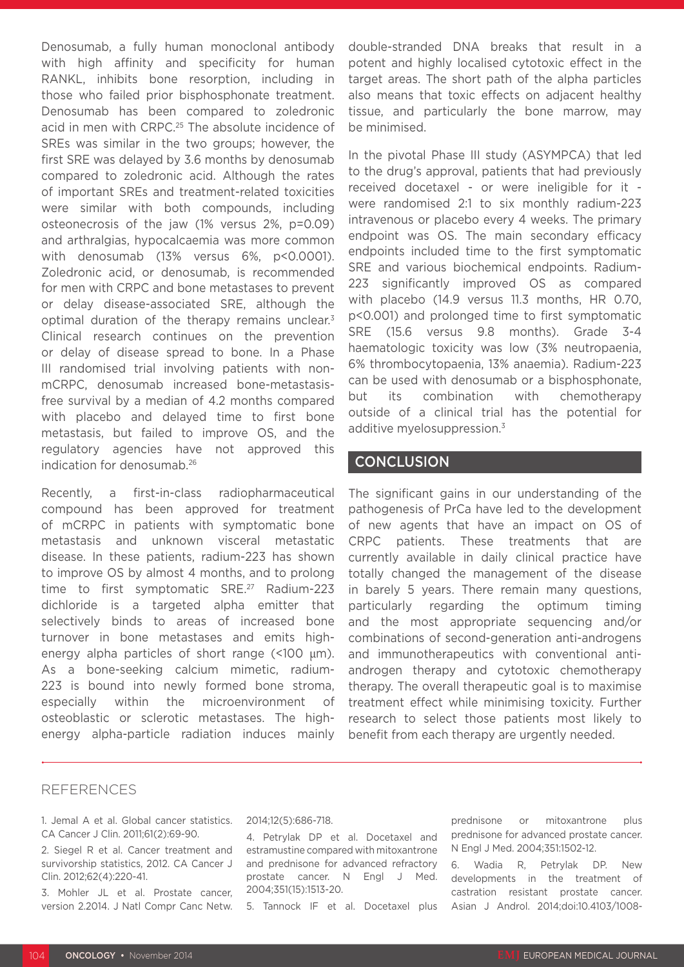Denosumab, a fully human monoclonal antibody with high affinity and specificity for human RANKL, inhibits bone resorption, including in those who failed prior bisphosphonate treatment. Denosumab has been compared to zoledronic acid in men with CRPC.<sup>25</sup> The absolute incidence of SREs was similar in the two groups; however, the first SRE was delayed by 3.6 months by denosumab compared to zoledronic acid. Although the rates of important SREs and treatment-related toxicities were similar with both compounds, including osteonecrosis of the jaw (1% versus 2%, p=0.09) and arthralgias, hypocalcaemia was more common with denosumab (13% versus 6%, p<0.0001). Zoledronic acid, or denosumab, is recommended for men with CRPC and bone metastases to prevent or delay disease-associated SRE, although the optimal duration of the therapy remains unclear.<sup>3</sup> Clinical research continues on the prevention or delay of disease spread to bone. In a Phase III randomised trial involving patients with nonmCRPC, denosumab increased bone-metastasisfree survival by a median of 4.2 months compared with placebo and delayed time to first bone metastasis, but failed to improve OS, and the regulatory agencies have not approved this indication for denosumab.26

Recently, a first-in-class radiopharmaceutical compound has been approved for treatment of mCRPC in patients with symptomatic bone metastasis and unknown visceral metastatic disease. In these patients, radium-223 has shown to improve OS by almost 4 months, and to prolong time to first symptomatic SRE.27 Radium-223 dichloride is a targeted alpha emitter that selectively binds to areas of increased bone turnover in bone metastases and emits highenergy alpha particles of short range (<100 µm). As a bone-seeking calcium mimetic, radium-223 is bound into newly formed bone stroma, especially within the microenvironment of osteoblastic or sclerotic metastases. The highenergy alpha-particle radiation induces mainly

double-stranded DNA breaks that result in a potent and highly localised cytotoxic effect in the target areas. The short path of the alpha particles also means that toxic effects on adjacent healthy tissue, and particularly the bone marrow, may be minimised.

In the pivotal Phase III study (ASYMPCA) that led to the drug's approval, patients that had previously received docetaxel - or were ineligible for it were randomised 2:1 to six monthly radium-223 intravenous or placebo every 4 weeks. The primary endpoint was OS. The main secondary efficacy endpoints included time to the first symptomatic SRE and various biochemical endpoints. Radium-223 significantly improved OS as compared with placebo (14.9 versus 11.3 months, HR 0.70, p<0.001) and prolonged time to first symptomatic SRE (15.6 versus 9.8 months). Grade 3-4 haematologic toxicity was low (3% neutropaenia, 6% thrombocytopaenia, 13% anaemia). Radium-223 can be used with denosumab or a bisphosphonate, but its combination with chemotherapy outside of a clinical trial has the potential for additive myelosuppression.<sup>3</sup>

### CONCLUSION

The significant gains in our understanding of the pathogenesis of PrCa have led to the development of new agents that have an impact on OS of CRPC patients. These treatments that are currently available in daily clinical practice have totally changed the management of the disease in barely 5 years. There remain many questions, particularly regarding the optimum timing and the most appropriate sequencing and/or combinations of second-generation anti-androgens and immunotherapeutics with conventional antiandrogen therapy and cytotoxic chemotherapy therapy. The overall therapeutic goal is to maximise treatment effect while minimising toxicity. Further research to select those patients most likely to benefit from each therapy are urgently needed.

### REFERENCES

1. Jemal A et al. Global cancer statistics. CA Cancer J Clin. 2011;61(2):69-90.

2. Siegel R et al. Cancer treatment and survivorship statistics, 2012. CA Cancer J Clin. 2012;62(4):220-41.

3. Mohler JL et al. Prostate cancer, version 2.2014. J Natl Compr Canc Netw. 2014;12(5):686-718.

4. Petrylak DP et al. Docetaxel and estramustine compared with mitoxantrone and prednisone for advanced refractory prostate cancer. N Engl J Med. 2004;351(15):1513-20.

5. Tannock IF et al. Docetaxel plus

prednisone or mitoxantrone plus prednisone for advanced prostate cancer. N Engl J Med. 2004;351:1502-12.

6. Wadia R, Petrylak DP. New developments in the treatment of castration resistant prostate cancer. Asian J Androl. 2014;doi:10.4103/1008-